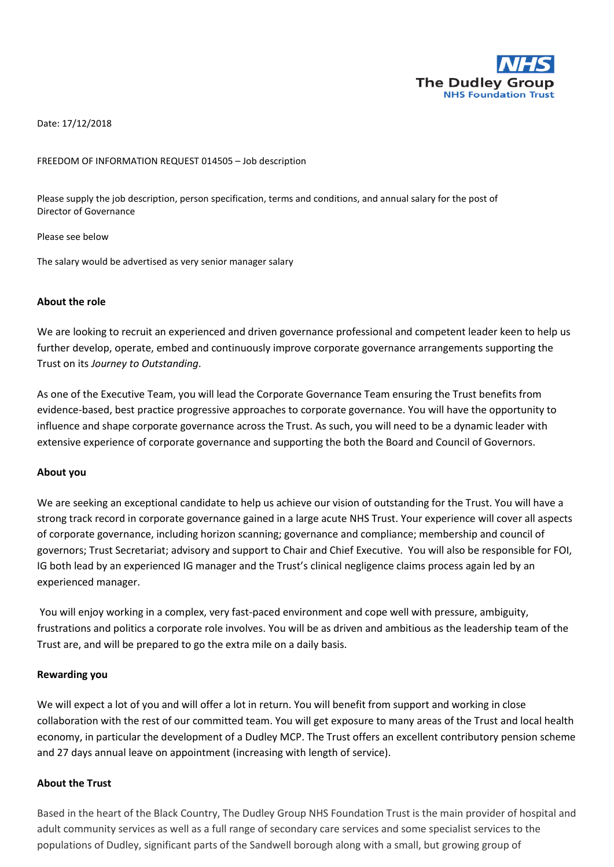

Date: 17/12/2018

#### FREEDOM OF INFORMATION REQUEST 014505 – Job description

Please supply the job description, person specification, terms and conditions, and annual salary for the post of Director of Governance

Please see below

The salary would be advertised as very senior manager salary

#### **About the role**

We are looking to recruit an experienced and driven governance professional and competent leader keen to help us further develop, operate, embed and continuously improve corporate governance arrangements supporting the Trust on its *Journey to Outstanding*.

As one of the Executive Team, you will lead the Corporate Governance Team ensuring the Trust benefits from evidence-based, best practice progressive approaches to corporate governance. You will have the opportunity to influence and shape corporate governance across the Trust. As such, you will need to be a dynamic leader with extensive experience of corporate governance and supporting the both the Board and Council of Governors.

#### **About you**

We are seeking an exceptional candidate to help us achieve our vision of outstanding for the Trust. You will have a strong track record in corporate governance gained in a large acute NHS Trust. Your experience will cover all aspects of corporate governance, including horizon scanning; governance and compliance; membership and council of governors; Trust Secretariat; advisory and support to Chair and Chief Executive. You will also be responsible for FOI, IG both lead by an experienced IG manager and the Trust's clinical negligence claims process again led by an experienced manager.

You will enjoy working in a complex, very fast-paced environment and cope well with pressure, ambiguity, frustrations and politics a corporate role involves. You will be as driven and ambitious as the leadership team of the Trust are, and will be prepared to go the extra mile on a daily basis.

#### **Rewarding you**

We will expect a lot of you and will offer a lot in return. You will benefit from support and working in close collaboration with the rest of our committed team. You will get exposure to many areas of the Trust and local health economy, in particular the development of a Dudley MCP. The Trust offers an excellent contributory pension scheme and 27 days annual leave on appointment (increasing with length of service).

#### **About the Trust**

Based in the heart of the Black Country, The Dudley Group NHS Foundation Trust is the main provider of hospital and adult community services as well as a full range of secondary care services and some specialist services to the populations of Dudley, significant parts of the Sandwell borough along with a small, but growing group of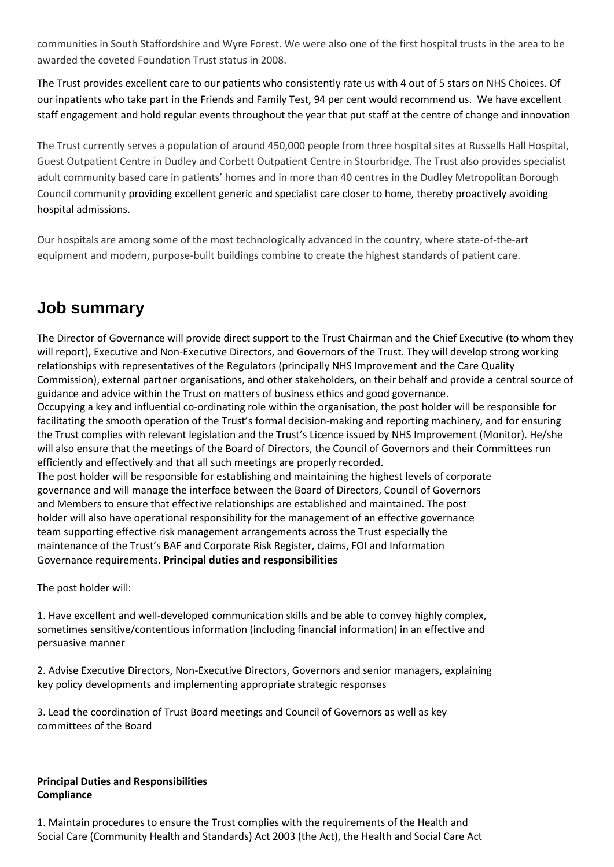communities in South Staffordshire and Wyre Forest. We were also one of the first hospital trusts in the area to be awarded the coveted Foundation Trust status in 2008.

The Trust provides excellent care to our patients who consistently rate us with 4 out of 5 stars on NHS Choices. Of our inpatients who take part in the Friends and Family Test, 94 per cent would recommend us. We have excellent staff engagement and hold regular events throughout the year that put staff at the centre of change and innovation

The Trust currently serves a population of around 450,000 people from three hospital sites at Russells Hall Hospital, Guest Outpatient Centre in Dudley and Corbett Outpatient Centre in Stourbridge. The Trust also provides specialist adult community based care in patients' homes and in more than 40 centres in the Dudley Metropolitan Borough Council community providing excellent generic and specialist care closer to home, thereby proactively avoiding hospital admissions.

Our hospitals are among some of the most technologically advanced in the country, where state-of-the-art equipment and modern, purpose-built buildings combine to create the highest standards of patient care.

# **Job summary**

The Director of Governance will provide direct support to the Trust Chairman and the Chief Executive (to whom they will report), Executive and Non-Executive Directors, and Governors of the Trust. They will develop strong working relationships with representatives of the Regulators (principally NHS Improvement and the Care Quality Commission), external partner organisations, and other stakeholders, on their behalf and provide a central source of guidance and advice within the Trust on matters of business ethics and good governance. Occupying a key and influential co-ordinating role within the organisation, the post holder will be responsible for facilitating the smooth operation of the Trust's formal decision-making and reporting machinery, and for ensuring the Trust complies with relevant legislation and the Trust's Licence issued by NHS Improvement (Monitor). He/she will also ensure that the meetings of the Board of Directors, the Council of Governors and their Committees run efficiently and effectively and that all such meetings are properly recorded. The post holder will be responsible for establishing and maintaining the highest levels of corporate

governance and will manage the interface between the Board of Directors, Council of Governors and Members to ensure that effective relationships are established and maintained. The post holder will also have operational responsibility for the management of an effective governance team supporting effective risk management arrangements across the Trust especially the maintenance of the Trust's BAF and Corporate Risk Register, claims, FOI and Information Governance requirements. **Principal duties and responsibilities** 

The post holder will:

1. Have excellent and well-developed communication skills and be able to convey highly complex, sometimes sensitive/contentious information (including financial information) in an effective and persuasive manner

2. Advise Executive Directors, Non-Executive Directors, Governors and senior managers, explaining key policy developments and implementing appropriate strategic responses

3. Lead the coordination of Trust Board meetings and Council of Governors as well as key committees of the Board

# **Principal Duties and Responsibilities Compliance**

1. Maintain procedures to ensure the Trust complies with the requirements of the Health and Social Care (Community Health and Standards) Act 2003 (the Act), the Health and Social Care Act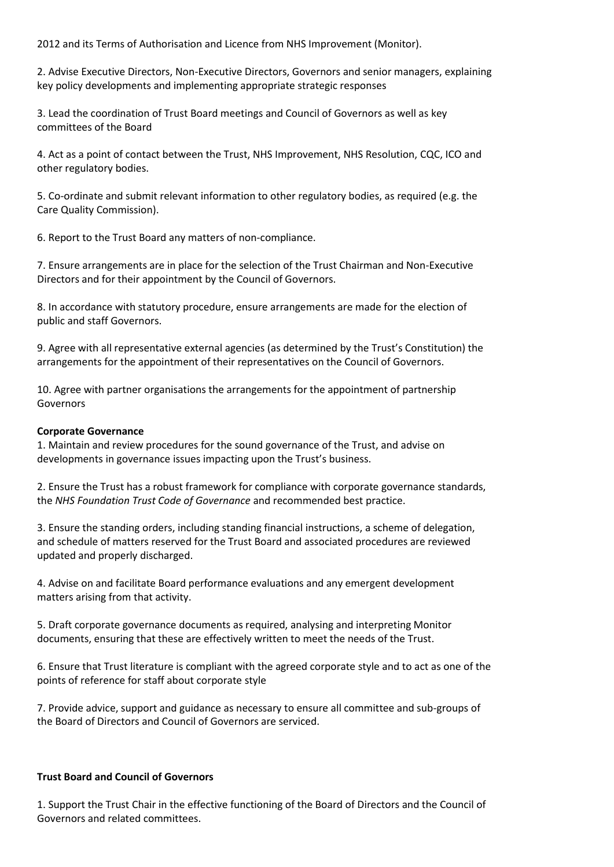2012 and its Terms of Authorisation and Licence from NHS Improvement (Monitor).

2. Advise Executive Directors, Non-Executive Directors, Governors and senior managers, explaining key policy developments and implementing appropriate strategic responses

3. Lead the coordination of Trust Board meetings and Council of Governors as well as key committees of the Board

4. Act as a point of contact between the Trust, NHS Improvement, NHS Resolution, CQC, ICO and other regulatory bodies.

5. Co-ordinate and submit relevant information to other regulatory bodies, as required (e.g. the Care Quality Commission).

6. Report to the Trust Board any matters of non-compliance.

7. Ensure arrangements are in place for the selection of the Trust Chairman and Non-Executive Directors and for their appointment by the Council of Governors.

8. In accordance with statutory procedure, ensure arrangements are made for the election of public and staff Governors.

9. Agree with all representative external agencies (as determined by the Trust's Constitution) the arrangements for the appointment of their representatives on the Council of Governors.

10. Agree with partner organisations the arrangements for the appointment of partnership Governors

#### **Corporate Governance**

1. Maintain and review procedures for the sound governance of the Trust, and advise on developments in governance issues impacting upon the Trust's business.

2. Ensure the Trust has a robust framework for compliance with corporate governance standards, the *NHS Foundation Trust Code of Governance* and recommended best practice.

3. Ensure the standing orders, including standing financial instructions, a scheme of delegation, and schedule of matters reserved for the Trust Board and associated procedures are reviewed updated and properly discharged.

4. Advise on and facilitate Board performance evaluations and any emergent development matters arising from that activity.

5. Draft corporate governance documents as required, analysing and interpreting Monitor documents, ensuring that these are effectively written to meet the needs of the Trust.

6. Ensure that Trust literature is compliant with the agreed corporate style and to act as one of the points of reference for staff about corporate style

7. Provide advice, support and guidance as necessary to ensure all committee and sub-groups of the Board of Directors and Council of Governors are serviced.

#### **Trust Board and Council of Governors**

1. Support the Trust Chair in the effective functioning of the Board of Directors and the Council of Governors and related committees.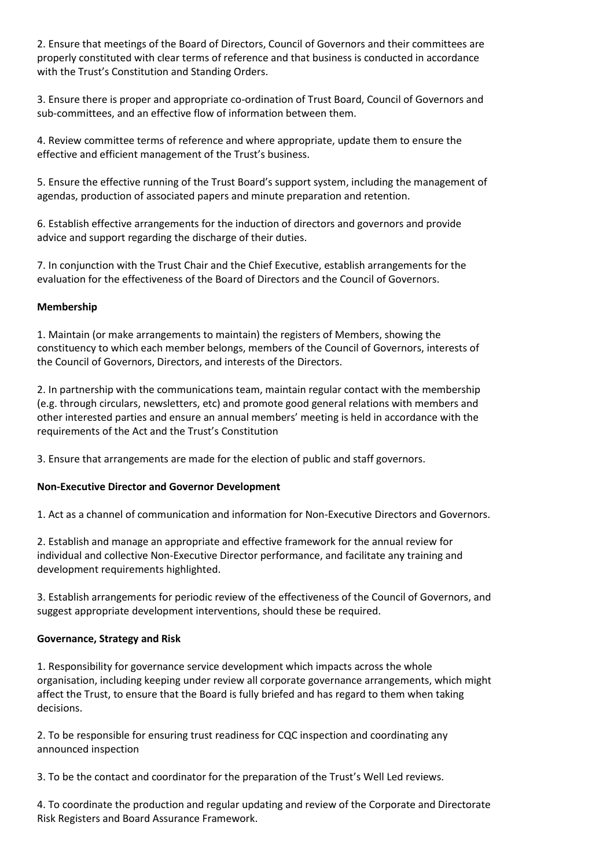2. Ensure that meetings of the Board of Directors, Council of Governors and their committees are properly constituted with clear terms of reference and that business is conducted in accordance with the Trust's Constitution and Standing Orders.

3. Ensure there is proper and appropriate co-ordination of Trust Board, Council of Governors and sub-committees, and an effective flow of information between them.

4. Review committee terms of reference and where appropriate, update them to ensure the effective and efficient management of the Trust's business.

5. Ensure the effective running of the Trust Board's support system, including the management of agendas, production of associated papers and minute preparation and retention.

6. Establish effective arrangements for the induction of directors and governors and provide advice and support regarding the discharge of their duties.

7. In conjunction with the Trust Chair and the Chief Executive, establish arrangements for the evaluation for the effectiveness of the Board of Directors and the Council of Governors.

# **Membership**

1. Maintain (or make arrangements to maintain) the registers of Members, showing the constituency to which each member belongs, members of the Council of Governors, interests of the Council of Governors, Directors, and interests of the Directors.

2. In partnership with the communications team, maintain regular contact with the membership (e.g. through circulars, newsletters, etc) and promote good general relations with members and other interested parties and ensure an annual members' meeting is held in accordance with the requirements of the Act and the Trust's Constitution

3. Ensure that arrangements are made for the election of public and staff governors.

# **Non-Executive Director and Governor Development**

1. Act as a channel of communication and information for Non-Executive Directors and Governors.

2. Establish and manage an appropriate and effective framework for the annual review for individual and collective Non-Executive Director performance, and facilitate any training and development requirements highlighted.

3. Establish arrangements for periodic review of the effectiveness of the Council of Governors, and suggest appropriate development interventions, should these be required.

#### **Governance, Strategy and Risk**

1. Responsibility for governance service development which impacts across the whole organisation, including keeping under review all corporate governance arrangements, which might affect the Trust, to ensure that the Board is fully briefed and has regard to them when taking decisions.

2. To be responsible for ensuring trust readiness for CQC inspection and coordinating any announced inspection

3. To be the contact and coordinator for the preparation of the Trust's Well Led reviews.

4. To coordinate the production and regular updating and review of the Corporate and Directorate Risk Registers and Board Assurance Framework.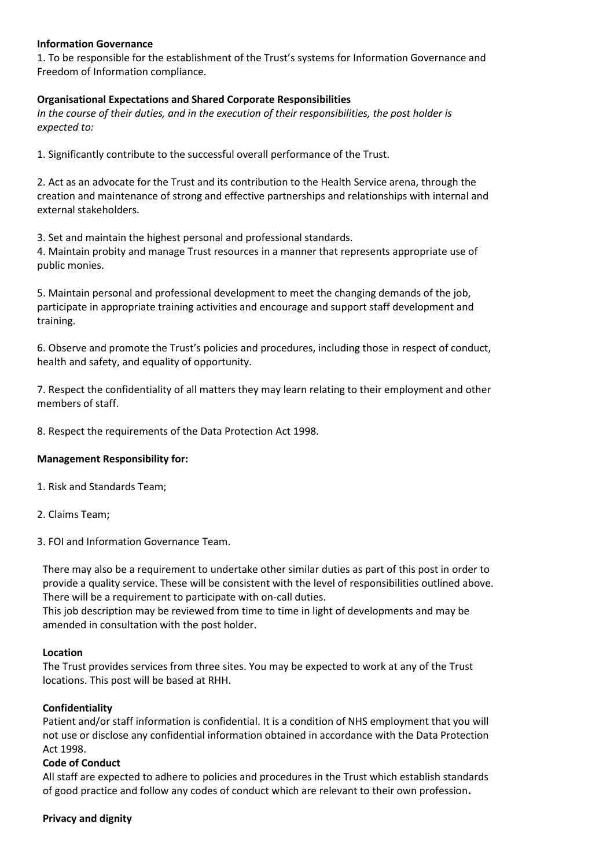#### **Information Governance**

1. To be responsible for the establishment of the Trust's systems for Information Governance and Freedom of Information compliance.

#### **Organisational Expectations and Shared Corporate Responsibilities**

*In the course of their duties, and in the execution of their responsibilities, the post holder is expected to:* 

1. Significantly contribute to the successful overall performance of the Trust.

2. Act as an advocate for the Trust and its contribution to the Health Service arena, through the creation and maintenance of strong and effective partnerships and relationships with internal and external stakeholders.

3. Set and maintain the highest personal and professional standards.

4. Maintain probity and manage Trust resources in a manner that represents appropriate use of public monies.

5. Maintain personal and professional development to meet the changing demands of the job, participate in appropriate training activities and encourage and support staff development and training.

6. Observe and promote the Trust's policies and procedures, including those in respect of conduct, health and safety, and equality of opportunity.

7. Respect the confidentiality of all matters they may learn relating to their employment and other members of staff.

8. Respect the requirements of the Data Protection Act 1998.

#### **Management Responsibility for:**

1. Risk and Standards Team;

2. Claims Team;

3. FOI and Information Governance Team.

There may also be a requirement to undertake other similar duties as part of this post in order to provide a quality service. These will be consistent with the level of responsibilities outlined above. There will be a requirement to participate with on-call duties.

This job description may be reviewed from time to time in light of developments and may be amended in consultation with the post holder.

#### **Location**

The Trust provides services from three sites. You may be expected to work at any of the Trust locations. This post will be based at RHH.

#### **Confidentiality**

Patient and/or staff information is confidential. It is a condition of NHS employment that you will not use or disclose any confidential information obtained in accordance with the Data Protection Act 1998.

#### **Code of Conduct**

All staff are expected to adhere to policies and procedures in the Trust which establish standards of good practice and follow any codes of conduct which are relevant to their own profession**.** 

#### **Privacy and dignity**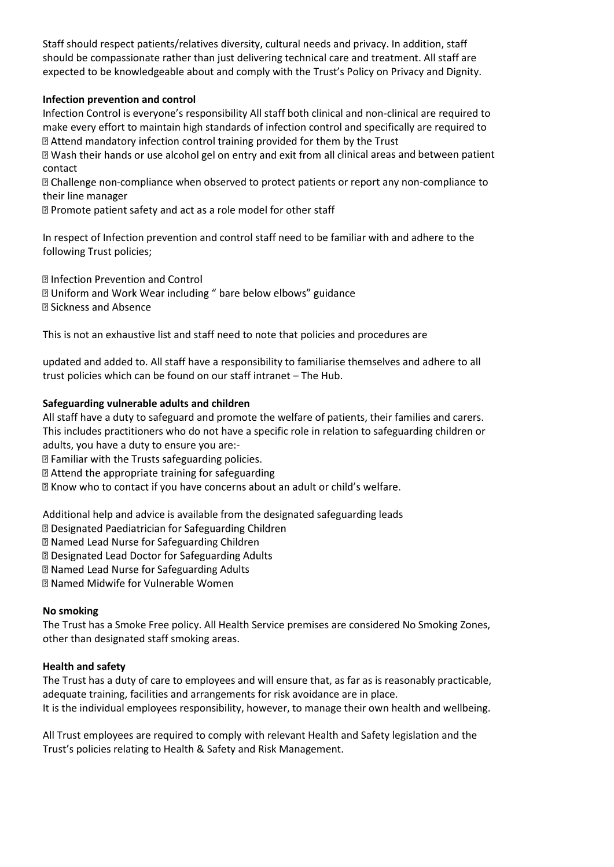Staff should respect patients/relatives diversity, cultural needs and privacy. In addition, staff should be compassionate rather than just delivering technical care and treatment. All staff are expected to be knowledgeable about and comply with the Trust's Policy on Privacy and Dignity.

# **Infection prevention and control**

Infection Control is everyone's responsibility All staff both clinical and non-clinical are required to make every effort to maintain high standards of infection control and specifically are required to **sqrtE** Attend mandatory infection control training provided for them by the Trust

If Wash their hands or use alcohol gel on entry and exit from all clinical areas and between patient contact

**D** Challenge non-compliance when observed to protect patients or report any non-compliance to their line manager

■ Promote patient safety and act as a role model for other staff

In respect of Infection prevention and control staff need to be familiar with and adhere to the following Trust policies;

**2 Infection Prevention and Control** 

**D** Uniform and Work Wear including " bare below elbows" guidance **2 Sickness and Absence** 

This is not an exhaustive list and staff need to note that policies and procedures are

updated and added to. All staff have a responsibility to familiarise themselves and adhere to all trust policies which can be found on our staff intranet – The Hub.

### **Safeguarding vulnerable adults and children**

All staff have a duty to safeguard and promote the welfare of patients, their families and carers. This includes practitioners who do not have a specific role in relation to safeguarding children or adults, you have a duty to ensure you are:-

**D** Familiar with the Trusts safeguarding policies.

**sqrtand 2 Attend the appropriate training for safeguarding** 

I Know who to contact if you have concerns about an adult or child's welfare.

Additional help and advice is available from the designated safeguarding leads

**D** Designated Paediatrician for Safeguarding Children

7 Named Lead Nurse for Safeguarding Children

**Z Designated Lead Doctor for Safeguarding Adults** 

**D** Named Lead Nurse for Safeguarding Adults

**Z Named Midwife for Vulnerable Women** 

#### **No smoking**

The Trust has a Smoke Free policy. All Health Service premises are considered No Smoking Zones, other than designated staff smoking areas.

# **Health and safety**

The Trust has a duty of care to employees and will ensure that, as far as is reasonably practicable, adequate training, facilities and arrangements for risk avoidance are in place. It is the individual employees responsibility, however, to manage their own health and wellbeing.

All Trust employees are required to comply with relevant Health and Safety legislation and the Trust's policies relating to Health & Safety and Risk Management.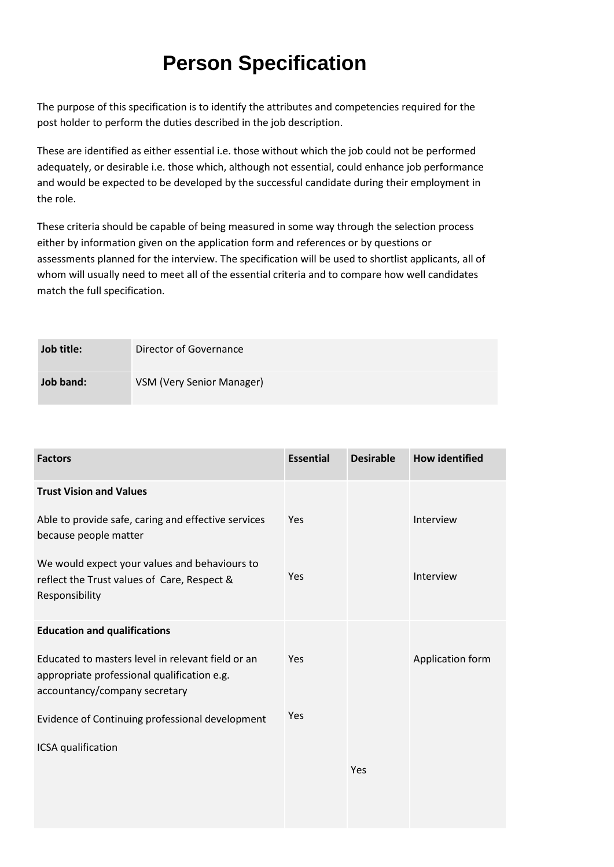# **Person Specification**

The purpose of this specification is to identify the attributes and competencies required for the post holder to perform the duties described in the job description.

These are identified as either essential i.e. those without which the job could not be performed adequately, or desirable i.e. those which, although not essential, could enhance job performance and would be expected to be developed by the successful candidate during their employment in the role.

These criteria should be capable of being measured in some way through the selection process either by information given on the application form and references or by questions or assessments planned for the interview. The specification will be used to shortlist applicants, all of whom will usually need to meet all of the essential criteria and to compare how well candidates match the full specification.

| Job title: | Director of Governance    |
|------------|---------------------------|
| Job band:  | VSM (Very Senior Manager) |

| <b>Factors</b>                                                                                                                    | <b>Essential</b> | <b>Desirable</b> | <b>How identified</b> |
|-----------------------------------------------------------------------------------------------------------------------------------|------------------|------------------|-----------------------|
| <b>Trust Vision and Values</b>                                                                                                    |                  |                  |                       |
| Able to provide safe, caring and effective services<br>because people matter                                                      | Yes              |                  | Interview             |
| We would expect your values and behaviours to<br>reflect the Trust values of Care, Respect &<br>Responsibility                    | Yes              |                  | Interview             |
| <b>Education and qualifications</b>                                                                                               |                  |                  |                       |
| Educated to masters level in relevant field or an<br>appropriate professional qualification e.g.<br>accountancy/company secretary | Yes              |                  | Application form      |
| Evidence of Continuing professional development                                                                                   | Yes              |                  |                       |
| ICSA qualification                                                                                                                |                  |                  |                       |
|                                                                                                                                   |                  | Yes              |                       |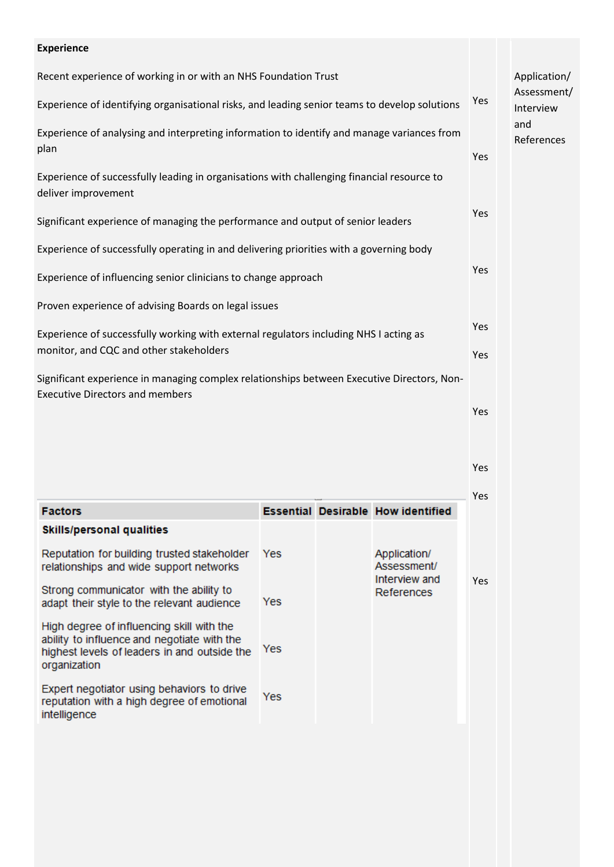| <b>Experience</b>                                                                                                                    |     |                          |
|--------------------------------------------------------------------------------------------------------------------------------------|-----|--------------------------|
| Recent experience of working in or with an NHS Foundation Trust                                                                      |     | Application/             |
| Experience of identifying organisational risks, and leading senior teams to develop solutions                                        | Yes | Assessment/<br>Interview |
| Experience of analysing and interpreting information to identify and manage variances from<br>plan                                   |     | and<br>References        |
|                                                                                                                                      | Yes |                          |
| Experience of successfully leading in organisations with challenging financial resource to<br>deliver improvement                    |     |                          |
| Significant experience of managing the performance and output of senior leaders                                                      | Yes |                          |
| Experience of successfully operating in and delivering priorities with a governing body                                              |     |                          |
| Experience of influencing senior clinicians to change approach                                                                       | Yes |                          |
| Proven experience of advising Boards on legal issues                                                                                 |     |                          |
| Experience of successfully working with external regulators including NHS I acting as                                                |     |                          |
| monitor, and CQC and other stakeholders                                                                                              | Yes |                          |
| Significant experience in managing complex relationships between Executive Directors, Non-<br><b>Executive Directors and members</b> |     |                          |
|                                                                                                                                      | Yes |                          |

Yes

|                                                                                                                                                          |     |                                              | <b>Yes</b> |
|----------------------------------------------------------------------------------------------------------------------------------------------------------|-----|----------------------------------------------|------------|
| <b>Factors</b>                                                                                                                                           |     | <b>Essential Desirable How identified</b>    |            |
| <b>Skills/personal qualities</b>                                                                                                                         |     |                                              |            |
| Reputation for building trusted stakeholder<br>relationships and wide support networks                                                                   | Yes | Application/<br>Assessment/<br>Interview and |            |
| Strong communicator with the ability to<br>adapt their style to the relevant audience                                                                    | Yes | References                                   | <b>Yes</b> |
| High degree of influencing skill with the<br>ability to influence and negotiate with the<br>highest levels of leaders in and outside the<br>organization | Yes |                                              |            |
| Expert negotiator using behaviors to drive<br>reputation with a high degree of emotional<br>intelligence                                                 | Yes |                                              |            |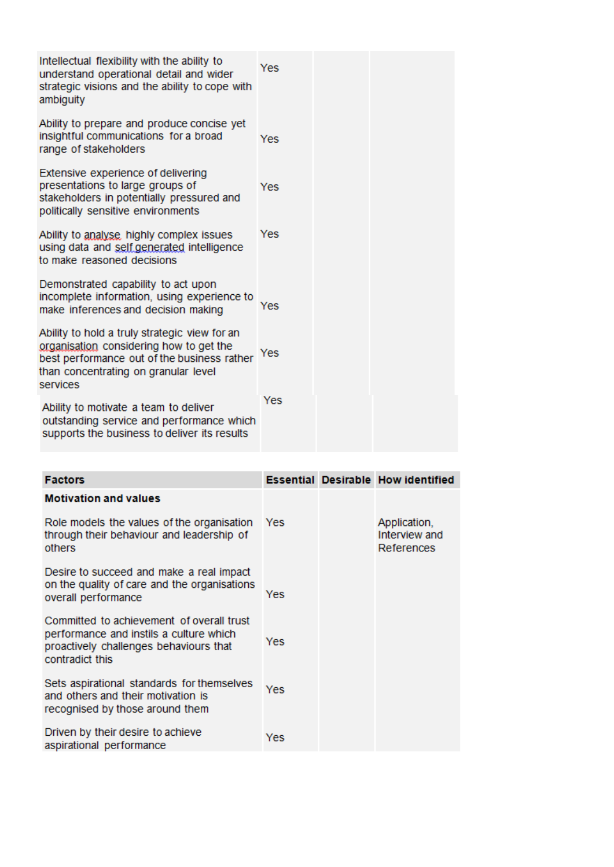| Intellectual flexibility with the ability to<br>understand operational detail and wider<br>strategic visions and the ability to cope with<br>ambiguity                                      | Yes |  |  |
|---------------------------------------------------------------------------------------------------------------------------------------------------------------------------------------------|-----|--|--|
| Ability to prepare and produce concise yet<br>insightful communications for a broad<br>range of stakeholders                                                                                | Yes |  |  |
| Extensive experience of delivering<br>presentations to large groups of<br>stakeholders in potentially pressured and<br>politically sensitive environments                                   | Yes |  |  |
| Ability to analyse, highly complex issues<br>using data and self generated intelligence<br>to make reasoned decisions                                                                       | Yes |  |  |
| Demonstrated capability to act upon<br>incomplete information, using experience to<br>make inferences and decision making                                                                   | Yes |  |  |
| Ability to hold a truly strategic view for an<br>organisation considering how to get the<br>best performance out of the business rather<br>than concentrating on granular level<br>services | Yes |  |  |
| Ability to motivate a team to deliver<br>outstanding service and performance which<br>supports the business to deliver its results                                                          | Yes |  |  |

| <b>Factors</b>                                                                                                                                    |            | <b>Essential Desirable How identified</b>   |
|---------------------------------------------------------------------------------------------------------------------------------------------------|------------|---------------------------------------------|
| <b>Motivation and values</b>                                                                                                                      |            |                                             |
| Role models the values of the organisation<br>through their behaviour and leadership of<br>others                                                 | <b>Yes</b> | Application,<br>Interview and<br>References |
| Desire to succeed and make a real impact<br>on the quality of care and the organisations<br>overall performance                                   | Yes        |                                             |
| Committed to achievement of overall trust<br>performance and instils a culture which<br>proactively challenges behaviours that<br>contradict this | Yes        |                                             |
| Sets aspirational standards for themselves<br>and others and their motivation is<br>recognised by those around them                               | Yes        |                                             |
| Driven by their desire to achieve<br>aspirational performance                                                                                     | Yes        |                                             |